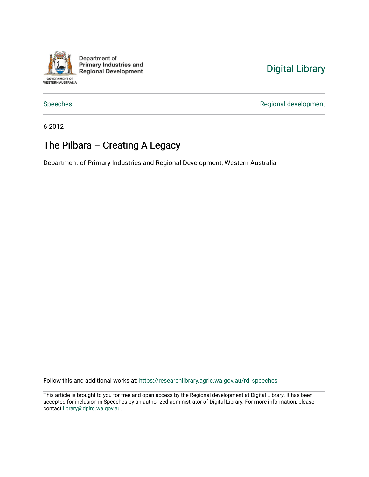

Department of **Primary Industries and Regional Development** 

## [Digital Library](https://researchlibrary.agric.wa.gov.au/)

[Speeches](https://researchlibrary.agric.wa.gov.au/rd_speeches) **Regional development** 

6-2012

## The Pilbara – Creating A Legacy

Department of Primary Industries and Regional Development, Western Australia

Follow this and additional works at: [https://researchlibrary.agric.wa.gov.au/rd\\_speeches](https://researchlibrary.agric.wa.gov.au/rd_speeches?utm_source=researchlibrary.agric.wa.gov.au%2Frd_speeches%2F4&utm_medium=PDF&utm_campaign=PDFCoverPages) 

This article is brought to you for free and open access by the Regional development at Digital Library. It has been accepted for inclusion in Speeches by an authorized administrator of Digital Library. For more information, please contact [library@dpird.wa.gov.au](mailto:library@dpird.wa.gov.au).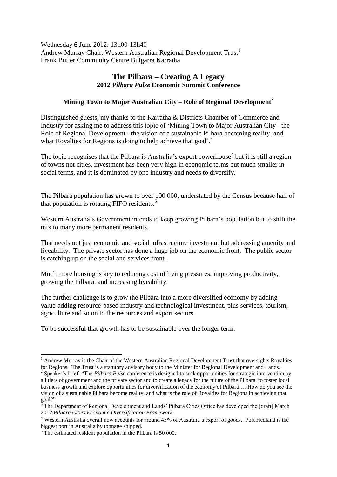Wednesday 6 June 2012: 13h00-13h40 Andrew Murray Chair: Western Australian Regional Development Trust<sup>1</sup> Frank Butler Community Centre Bulgarra Karratha

## **The Pilbara – Creating A Legacy 2012** *Pilbara Pulse* **Economic Summit Conference**

## **Mining Town to Major Australian City – Role of Regional Development<sup>2</sup>**

Distinguished guests, my thanks to the Karratha & Districts Chamber of Commerce and Industry for asking me to address this topic of 'Mining Town to Major Australian City - the Role of Regional Development - the vision of a sustainable Pilbara becoming reality, and what Royalties for Regions is doing to help achieve that goal'.<sup>3</sup>

The topic recognises that the Pilbara is Australia's export powerhouse<sup>4</sup> but it is still a region of towns not cities, investment has been very high in economic terms but much smaller in social terms, and it is dominated by one industry and needs to diversify.

The Pilbara population has grown to over 100 000, understated by the Census because half of that population is rotating FIFO residents. 5

Western Australia's Government intends to keep growing Pilbara's population but to shift the mix to many more permanent residents.

That needs not just economic and social infrastructure investment but addressing amenity and liveability. The private sector has done a huge job on the economic front. The public sector is catching up on the social and services front.

Much more housing is key to reducing cost of living pressures, improving productivity, growing the Pilbara, and increasing liveability.

The further challenge is to grow the Pilbara into a more diversified economy by adding value-adding resource-based industry and technological investment, plus services, tourism, agriculture and so on to the resources and export sectors.

To be successful that growth has to be sustainable over the longer term.

 $1$  Andrew Murray is the Chair of the Western Australian Regional Development Trust that oversights Royalties for Regions. The Trust is a statutory advisory body to the Minister for Regional Development and Lands.

<sup>&</sup>lt;sup>2</sup> Speaker's brief: "The *Pilbara Pulse* conference is designed to seek opportunities for strategic intervention by all tiers of government and the private sector and to create a legacy for the future of the Pilbara, to foster local business growth and explore opportunities for diversification of the economy of Pilbara … How do you see the vision of a sustainable Pilbara become reality, and what is the role of Royalties for Regions in achieving that goal?"

The Department of Regional Development and Lands' Pilbara Cities Office has developed the [draft] March 2012 *Pilbara Cities Economic Diversification Framework.*

<sup>&</sup>lt;sup>4</sup> Western Australia overall now accounts for around 45% of Australia's export of goods. Port Hedland is the biggest port in Australia by tonnage shipped.

<sup>&</sup>lt;sup>5</sup> The estimated resident population in the Pilbara is 50 000.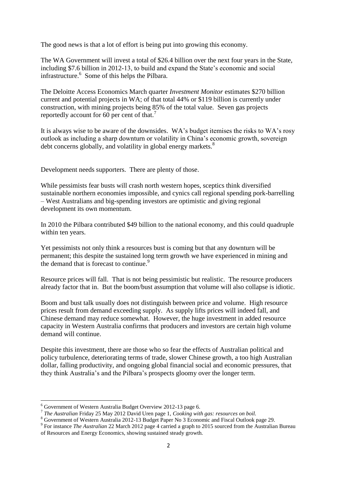The good news is that a lot of effort is being put into growing this economy.

The WA Government will invest a total of \$26.4 billion over the next four years in the State, including \$7.6 billion in 2012-13, to build and expand the State's economic and social infrastructure.<sup>6</sup> Some of this helps the Pilbara.

The Deloitte Access Economics March quarter *Investment Monitor* estimates \$270 billion current and potential projects in WA; of that total 44% or \$119 billion is currently under construction, with mining projects being 85% of the total value. Seven gas projects reportedly account for 60 per cent of that.<sup>7</sup>

It is always wise to be aware of the downsides. WA's budget itemises the risks to WA's rosy outlook as including a sharp downturn or volatility in China's economic growth, sovereign debt concerns globally, and volatility in global energy markets.<sup>8</sup>

Development needs supporters. There are plenty of those.

While pessimists fear busts will crash north western hopes, sceptics think diversified sustainable northern economies impossible, and cynics call regional spending pork-barrelling – West Australians and big-spending investors are optimistic and giving regional development its own momentum.

In 2010 the Pilbara contributed \$49 billion to the national economy, and this could quadruple within ten years.

Yet pessimists not only think a resources bust is coming but that any downturn will be permanent; this despite the sustained long term growth we have experienced in mining and the demand that is forecast to continue.<sup>9</sup>

Resource prices will fall. That is not being pessimistic but realistic. The resource producers already factor that in. But the boom/bust assumption that volume will also collapse is idiotic.

Boom and bust talk usually does not distinguish between price and volume. High resource prices result from demand exceeding supply. As supply lifts prices will indeed fall, and Chinese demand may reduce somewhat. However, the huge investment in added resource capacity in Western Australia confirms that producers and investors are certain high volume demand will continue.

Despite this investment, there are those who so fear the effects of Australian political and policy turbulence, deteriorating terms of trade, slower Chinese growth, a too high Australian dollar, falling productivity, and ongoing global financial social and economic pressures, that they think Australia's and the Pilbara's prospects gloomy over the longer term.

<sup>6</sup> Government of Western Australia Budget Overview 2012-13 page 6.

<sup>7</sup> *The Australian* Friday 25 May 2012 David Uren page 1, *Cooking with gas: resources on boil.*

<sup>&</sup>lt;sup>8</sup> Government of Western Australia 2012-13 Budget Paper No 3 Economic and Fiscal Outlook page 29.

<sup>&</sup>lt;sup>9</sup> For instance *The Australian* 22 March 2012 page 4 carried a graph to 2015 sourced from the Australian Bureau of Resources and Energy Economics, showing sustained steady growth.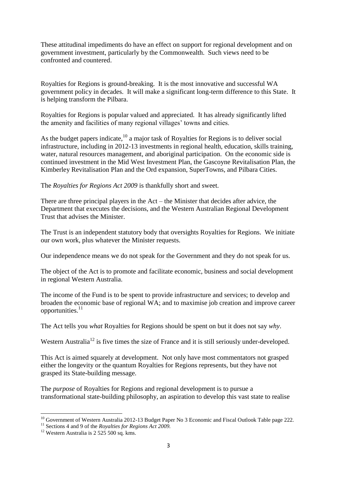These attitudinal impediments do have an effect on support for regional development and on government investment, particularly by the Commonwealth. Such views need to be confronted and countered.

Royalties for Regions is ground-breaking. It is the most innovative and successful WA government policy in decades. It will make a significant long-term difference to this State. It is helping transform the Pilbara.

Royalties for Regions is popular valued and appreciated. It has already significantly lifted the amenity and facilities of many regional villages' towns and cities.

As the budget papers indicate,<sup>10</sup> a major task of Royalties for Regions is to deliver social infrastructure, including in 2012-13 investments in regional health, education, skills training, water, natural resources management, and aboriginal participation. On the economic side is continued investment in the Mid West Investment Plan, the Gascoyne Revitalisation Plan, the Kimberley Revitalisation Plan and the Ord expansion, SuperTowns, and Pilbara Cities.

The *Royalties for Regions Act 2009* is thankfully short and sweet.

There are three principal players in the Act – the Minister that decides after advice, the Department that executes the decisions, and the Western Australian Regional Development Trust that advises the Minister.

The Trust is an independent statutory body that oversights Royalties for Regions. We initiate our own work, plus whatever the Minister requests.

Our independence means we do not speak for the Government and they do not speak for us.

The object of the Act is to promote and facilitate economic, business and social development in regional Western Australia.

The income of the Fund is to be spent to provide infrastructure and services; to develop and broaden the economic base of regional WA; and to maximise job creation and improve career opportunities.<sup>11</sup>

The Act tells you *what* Royalties for Regions should be spent on but it does not say *why*.

Western Australia<sup>12</sup> is five times the size of France and it is still seriously under-developed.

This Act is aimed squarely at development. Not only have most commentators not grasped either the longevity or the quantum Royalties for Regions represents, but they have not grasped its State-building message.

The *purpose* of Royalties for Regions and regional development is to pursue a transformational state-building philosophy, an aspiration to develop this vast state to realise

<sup>1</sup> <sup>10</sup> Government of Western Australia 2012-13 Budget Paper No 3 Economic and Fiscal Outlook Table page 222.

<sup>11</sup> Sections 4 and 9 of the *Royalties for Regions Act 2009.*

 $12$  Western Australia is 2 525 500 sq. kms.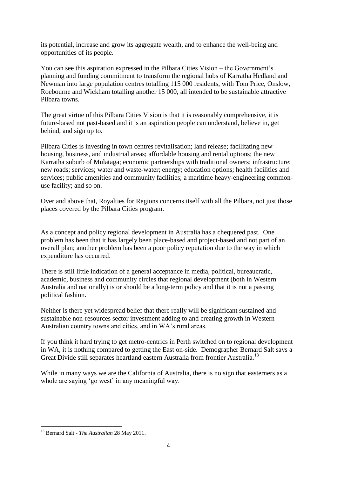its potential, increase and grow its aggregate wealth, and to enhance the well-being and opportunities of its people.

You can see this aspiration expressed in the Pilbara Cities Vision – the Government's planning and funding commitment to transform the regional hubs of Karratha Hedland and Newman into large population centres totalling 115 000 residents, with Tom Price, Onslow, Roebourne and Wickham totalling another 15 000, all intended to be sustainable attractive Pilbara towns.

The great virtue of this Pilbara Cities Vision is that it is reasonably comprehensive, it is future-based not past-based and it is an aspiration people can understand, believe in, get behind, and sign up to.

Pilbara Cities is investing in town centres revitalisation; land release; facilitating new housing, business, and industrial areas; affordable housing and rental options; the new Karratha suburb of Mulataga; economic partnerships with traditional owners; infrastructure; new roads; services; water and waste-water; energy; education options; health facilities and services; public amenities and community facilities; a maritime heavy-engineering commonuse facility; and so on.

Over and above that, Royalties for Regions concerns itself with all the Pilbara, not just those places covered by the Pilbara Cities program.

As a concept and policy regional development in Australia has a chequered past. One problem has been that it has largely been place-based and project-based and not part of an overall plan; another problem has been a poor policy reputation due to the way in which expenditure has occurred.

There is still little indication of a general acceptance in media, political, bureaucratic, academic, business and community circles that regional development (both in Western Australia and nationally) is or should be a long-term policy and that it is not a passing political fashion.

Neither is there yet widespread belief that there really will be significant sustained and sustainable non-resources sector investment adding to and creating growth in Western Australian country towns and cities, and in WA's rural areas.

If you think it hard trying to get metro-centrics in Perth switched on to regional development in WA, it is nothing compared to getting the East on-side. Demographer Bernard Salt says a Great Divide still separates heartland eastern Australia from frontier Australia.<sup>13</sup>

While in many ways we are the California of Australia, there is no sign that easterners as a whole are saying 'go west' in any meaningful way.

**<sup>.</sup>** <sup>13</sup> Bernard Salt - *The Australian* 28 May 2011.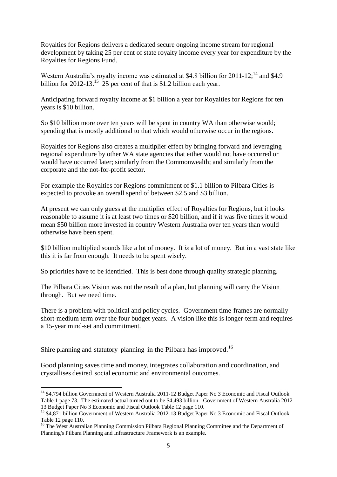Royalties for Regions delivers a dedicated secure ongoing income stream for regional development by taking 25 per cent of state royalty income every year for expenditure by the Royalties for Regions Fund.

Western Australia's royalty income was estimated at \$4.8 billion for 2011-12;<sup>14</sup> and \$4.9 billion for 2012-13.<sup>15</sup> 25 per cent of that is \$1.2 billion each year.

Anticipating forward royalty income at \$1 billion a year for Royalties for Regions for ten years is \$10 billion.

So \$10 billion more over ten years will be spent in country WA than otherwise would; spending that is mostly additional to that which would otherwise occur in the regions.

Royalties for Regions also creates a multiplier effect by bringing forward and leveraging regional expenditure by other WA state agencies that either would not have occurred or would have occurred later; similarly from the Commonwealth; and similarly from the corporate and the not-for-profit sector.

For example the Royalties for Regions commitment of \$1.1 billion to Pilbara Cities is expected to provoke an overall spend of between \$2.5 and \$3 billion.

At present we can only guess at the multiplier effect of Royalties for Regions, but it looks reasonable to assume it is at least two times or \$20 billion, and if it was five times it would mean \$50 billion more invested in country Western Australia over ten years than would otherwise have been spent.

\$10 billion multiplied sounds like a lot of money. It *is* a lot of money. But in a vast state like this it is far from enough. It needs to be spent wisely.

So priorities have to be identified. This is best done through quality strategic planning.

The Pilbara Cities Vision was not the result of a plan, but planning will carry the Vision through. But we need time.

There is a problem with political and policy cycles. Government time-frames are normally short-medium term over the four budget years. A vision like this is longer-term and requires a 15-year mind-set and commitment.

Shire planning and statutory planning in the Pilbara has improved.<sup>16</sup>

**.** 

Good planning saves time and money, integrates collaboration and coordination, and crystallises desired social economic and environmental outcomes.

<sup>&</sup>lt;sup>14</sup> \$4,794 billion Government of Western Australia 2011-12 Budget Paper No 3 Economic and Fiscal Outlook Table 1 page 73. The estimated actual turned out to be \$4,493 billion - Government of Western Australia 2012- 13 Budget Paper No 3 Economic and Fiscal Outlook Table 12 page 110.

<sup>&</sup>lt;sup>15</sup> \$4,871 billion Government of Western Australia 2012-13 Budget Paper No 3 Economic and Fiscal Outlook Table 12 page 110.

<sup>&</sup>lt;sup>16</sup> The West Australian Planning Commission Pilbara Regional Planning Committee and the Department of Planning's Pilbara Planning and Infrastructure Framework is an example.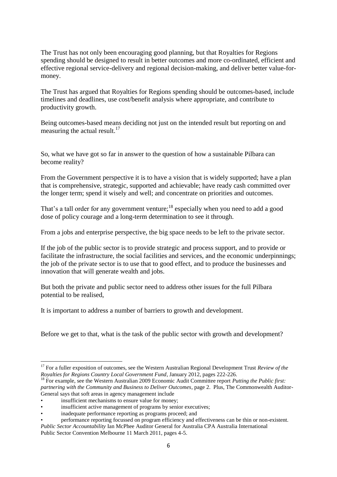The Trust has not only been encouraging good planning, but that Royalties for Regions spending should be designed to result in better outcomes and more co-ordinated, efficient and effective regional service-delivery and regional decision-making, and deliver better value-formoney.

The Trust has argued that Royalties for Regions spending should be outcomes-based, include timelines and deadlines, use cost/benefit analysis where appropriate, and contribute to productivity growth.

Being outcomes-based means deciding not just on the intended result but reporting on and measuring the actual result. $17$ 

So, what we have got so far in answer to the question of how a sustainable Pilbara can become reality?

From the Government perspective it is to have a vision that is widely supported; have a plan that is comprehensive, strategic, supported and achievable; have ready cash committed over the longer term; spend it wisely and well; and concentrate on priorities and outcomes.

That's a tall order for any government venture;<sup>18</sup> especially when you need to add a good dose of policy courage and a long-term determination to see it through.

From a jobs and enterprise perspective, the big space needs to be left to the private sector.

If the job of the public sector is to provide strategic and process support, and to provide or facilitate the infrastructure, the social facilities and services, and the economic underpinnings; the job of the private sector is to use that to good effect, and to produce the businesses and innovation that will generate wealth and jobs.

But both the private and public sector need to address other issues for the full Pilbara potential to be realised,

It is important to address a number of barriers to growth and development.

Before we get to that, what is the task of the public sector with growth and development?

<sup>&</sup>lt;sup>17</sup> For a fuller exposition of outcomes, see the Western Australian Regional Development Trust *Review of the Royalties for Regions Country Local Government Fund*, January 2012, pages 222-226.

<sup>18</sup> For example, see the Western Australian 2009 Economic Audit Committee report *Putting the Public first: partnering with the Community and Business to Deliver Outcomes*, page 2. Plus, The Commonwealth Auditor-General says that soft areas in agency management include

insufficient mechanisms to ensure value for money;

insufficient active management of programs by senior executives;

<sup>•</sup> inadequate performance reporting as programs proceed; and

<sup>•</sup> performance reporting focussed on program efficiency and effectiveness can be thin or non-existent. *Public Sector Accountability* Ian McPhee Auditor General for Australia CPA Australia International Public Sector Convention Melbourne 11 March 2011, pages 4-5.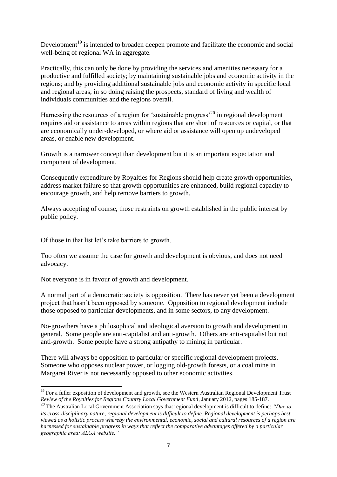Development<sup>19</sup> is intended to broaden deepen promote and facilitate the economic and social well-being of regional WA in aggregate.

Practically, this can only be done by providing the services and amenities necessary for a productive and fulfilled society; by maintaining sustainable jobs and economic activity in the regions; and by providing additional sustainable jobs and economic activity in specific local and regional areas; in so doing raising the prospects, standard of living and wealth of individuals communities and the regions overall.

Harnessing the resources of a region for 'sustainable progress'<sup>20</sup> in regional development requires aid or assistance to areas within regions that are short of resources or capital, or that are economically under-developed, or where aid or assistance will open up undeveloped areas, or enable new development.

Growth is a narrower concept than development but it is an important expectation and component of development.

Consequently expenditure by Royalties for Regions should help create growth opportunities, address market failure so that growth opportunities are enhanced, build regional capacity to encourage growth, and help remove barriers to growth.

Always accepting of course, those restraints on growth established in the public interest by public policy.

Of those in that list let's take barriers to growth.

Too often we assume the case for growth and development is obvious, and does not need advocacy.

Not everyone is in favour of growth and development.

A normal part of a democratic society is opposition. There has never yet been a development project that hasn't been opposed by someone. Opposition to regional development include those opposed to particular developments, and in some sectors, to any development.

No-growthers have a philosophical and ideological aversion to growth and development in general. Some people are anti-capitalist and anti-growth. Others are anti-capitalist but not anti-growth. Some people have a strong antipathy to mining in particular.

There will always be opposition to particular or specific regional development projects. Someone who opposes nuclear power, or logging old-growth forests, or a coal mine in Margaret River is not necessarily opposed to other economic activities.

 $\overline{a}$ <sup>19</sup> For a fuller exposition of development and growth, see the Western Australian Regional Development Trust *Review of the Royalties for Regions Country Local Government Fund*, January 2012, pages 185-187.

<sup>20</sup> The Australian Local Government Association says that regional development is difficult to define: *"Due to its cross-disciplinary nature, regional development is difficult to define. Regional development is perhaps best viewed as a holistic process whereby the environmental, economic, social and cultural resources of a region are harnessed for sustainable progress in ways that reflect the comparative advantages offered by a particular geographic area: ALGA website."*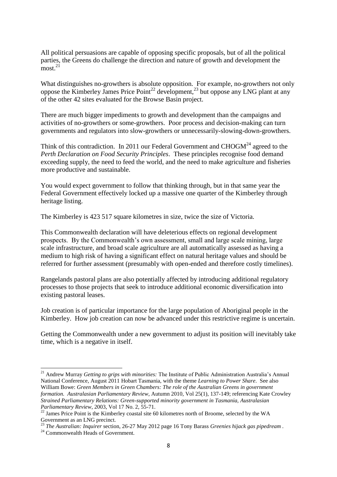All political persuasions are capable of opposing specific proposals, but of all the political parties, the Greens do challenge the direction and nature of growth and development the  $\mathrm{most.}^{21}$ 

What distinguishes no-growthers is absolute opposition. For example, no-growthers not only oppose the Kimberley James Price Point<sup>22</sup> development,<sup>23</sup> but oppose any LNG plant at any of the other 42 sites evaluated for the Browse Basin project.

There are much bigger impediments to growth and development than the campaigns and activities of no-growthers or some-growthers. Poor process and decision-making can turn governments and regulators into slow-growthers or unnecessarily-slowing-down-growthers.

Think of this contradiction. In 2011 our Federal Government and  $CHOGM<sup>24</sup>$  agreed to the *Perth Declaration on Food Security Principles*. These principles recognise food demand exceeding supply, the need to feed the world, and the need to make agriculture and fisheries more productive and sustainable.

You would expect government to follow that thinking through, but in that same year the Federal Government effectively locked up a massive one quarter of the Kimberley through heritage listing.

The Kimberley is 423 517 square kilometres in size, twice the size of Victoria.

This Commonwealth declaration will have deleterious effects on regional development prospects. By the Commonwealth's own assessment, small and large scale mining, large scale infrastructure, and broad scale agriculture are all automatically assessed as having a medium to high risk of having a significant effect on natural heritage values and should be referred for further assessment (presumably with open-ended and therefore costly timelines).

Rangelands pastoral plans are also potentially affected by introducing additional regulatory processes to those projects that seek to introduce additional economic diversification into existing pastoral leases.

Job creation is of particular importance for the large population of Aboriginal people in the Kimberley. How job creation can now be advanced under this restrictive regime is uncertain.

Getting the Commonwealth under a new government to adjust its position will inevitably take time, which is a negative in itself.

<sup>&</sup>lt;sup>21</sup> Andrew Murray *Getting to grips with minorities:* The Institute of Public Administration Australia's Annual National Conference, August 2011 Hobart Tasmania, with the theme *Learning to Power Share*. See also William Bowe: *Green Members in Green Chambers: The role of the Australian Greens in government formation. Australasian Parliamentary Review*, Autumn 2010, Vol 25(1), 137-149; referencing Kate Crowley *Strained Parliamentary Relations: Green-supported minority government in Tasmania, Australasian Parliamentary Review*, 2003, Vol 17 No. 2, 55-71.

 $^{22}$  James Price Point is the Kimberley coastal site 60 kilometres north of Broome, selected by the WA Government as an LNG precinct.

<sup>23</sup> *The Australian: Inquirer* section, 26-27 May 2012 page 16 Tony Barass *Greenies hijack gas pipedream .*

<sup>&</sup>lt;sup>24</sup> Commonwealth Heads of Government.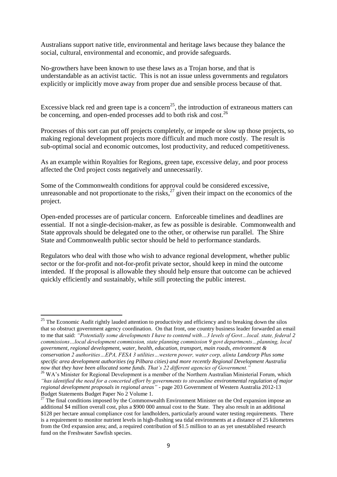Australians support native title, environmental and heritage laws because they balance the social, cultural, environmental and economic, and provide safeguards.

No-growthers have been known to use these laws as a Trojan horse, and that is understandable as an activist tactic. This is not an issue unless governments and regulators explicitly or implicitly move away from proper due and sensible process because of that.

Excessive black red and green tape is a concern<sup>25</sup>, the introduction of extraneous matters can be concerning, and open-ended processes add to both risk and cost.<sup>26</sup>

Processes of this sort can put off projects completely, or impede or slow up those projects, so making regional development projects more difficult and much more costly. The result is sub-optimal social and economic outcomes, lost productivity, and reduced competitiveness.

As an example within Royalties for Regions, green tape, excessive delay, and poor process affected the Ord project costs negatively and unnecessarily.

Some of the Commonwealth conditions for approval could be considered excessive, unreasonable and not proportionate to the risks, $^{27}$  given their impact on the economics of the project.

Open-ended processes are of particular concern. Enforceable timelines and deadlines are essential. If not a single-decision-maker, as few as possible is desirable. Commonwealth and State approvals should be delegated one to the other, or otherwise run parallel. The Shire State and Commonwealth public sector should be held to performance standards.

Regulators who deal with those who wish to advance regional development, whether public sector or the for-profit and not-for-profit private sector, should keep in mind the outcome intended. If the proposal is allowable they should help ensure that outcome can be achieved quickly efficiently and sustainably, while still protecting the public interest.

 $25$  The Economic Audit rightly lauded attention to productivity and efficiency and to breaking down the silos that so obstruct government agency coordination. On that front, one country business leader forwarded an email to me that said: *"Potentially some developments I have to contend with…3 levels of Govt…local. state, federal 2 commissions…local development commission, state planning commission 9 govt departments…planning, local government, regional development, water, health, education, transport, main roads, environment & conservation 2 authorities…EPA, FESA 3 utilities…western power, water corp, alinta Landcorp Plus some specific area development authorities (eg Pilbara cities) and more recently Regional Development Australia now that they have been allocated some funds. That's 22 different agencies of Government."*

<sup>&</sup>lt;sup>26</sup> WA's Minister for Regional Development is a member of the Northern Australian Ministerial Forum, which *"has identified the need for a concerted effort by governments to streamline environmental regulation of major regional development proposals in regional areas"* - page 203 Government of Western Australia 2012-13 Budget Statements Budget Paper No 2 Volume 1.

 $27$  The final conditions imposed by the Commonwealth Environment Minister on the Ord expansion impose an additional \$4 million overall cost, plus a \$900 000 annual cost to the State. They also result in an additional \$128 per hectare annual compliance cost for landholders, particularly around water testing requirements. There is a requirement to monitor nutrient levels in high-flushing sea tidal environments at a distance of 25 kilometres from the Ord expansion area; and, a required contribution of \$1.5 million to an as yet unestablished research fund on the Freshwater Sawfish species.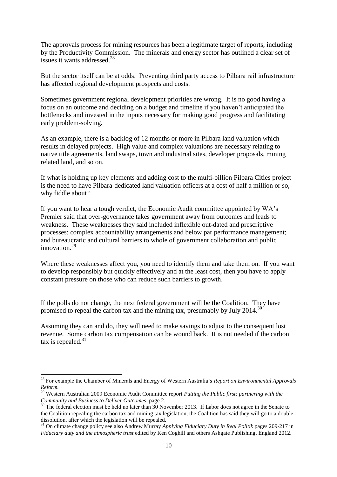The approvals process for mining resources has been a legitimate target of reports, including by the Productivity Commission. The minerals and energy sector has outlined a clear set of issues it wants addressed<sup>28</sup>

But the sector itself can be at odds. Preventing third party access to Pilbara rail infrastructure has affected regional development prospects and costs.

Sometimes government regional development priorities are wrong. It is no good having a focus on an outcome and deciding on a budget and timeline if you haven't anticipated the bottlenecks and invested in the inputs necessary for making good progress and facilitating early problem-solving.

As an example, there is a backlog of 12 months or more in Pilbara land valuation which results in delayed projects. High value and complex valuations are necessary relating to native title agreements, land swaps, town and industrial sites, developer proposals, mining related land, and so on.

If what is holding up key elements and adding cost to the multi-billion Pilbara Cities project is the need to have Pilbara-dedicated land valuation officers at a cost of half a million or so, why fiddle about?

If you want to hear a tough verdict, the Economic Audit committee appointed by WA's Premier said that over-governance takes government away from outcomes and leads to weakness. These weaknesses they said included inflexible out-dated and prescriptive processes; complex accountability arrangements and below par performance management; and bureaucratic and cultural barriers to whole of government collaboration and public innovation.<sup>29</sup>

Where these weaknesses affect you, you need to identify them and take them on. If you want to develop responsibly but quickly effectively and at the least cost, then you have to apply constant pressure on those who can reduce such barriers to growth.

If the polls do not change, the next federal government will be the Coalition. They have promised to repeal the carbon tax and the mining tax, presumably by July 2014.<sup>30</sup>

Assuming they can and do, they will need to make savings to adjust to the consequent lost revenue. Some carbon tax compensation can be wound back. It is not needed if the carbon tax is repealed. $31$ 

 $\overline{a}$ 

<sup>28</sup> For example the Chamber of Minerals and Energy of Western Australia's *Report on Environmental Approvals Reform.*

<sup>29</sup> Western Australian 2009 Economic Audit Committee report *Putting the Public first: partnering with the Community and Business to Deliver Outcomes*, page 2.

<sup>&</sup>lt;sup>30</sup> The federal election must be held no later than 30 November 2013. If Labor does not agree in the Senate to the Coalition repealing the carbon tax and mining tax legislation, the Coalition has said they will go to a doubledissolution, after which the legislation will be repealed.

<sup>31</sup> On climate change policy see also Andrew Murray *Applying Fiduciary Duty in Real Politik* pages 209-217 in *Fiduciary duty and the atmospheric trust* edited by Ken Coghill and others Ashgate Publishing, England 2012.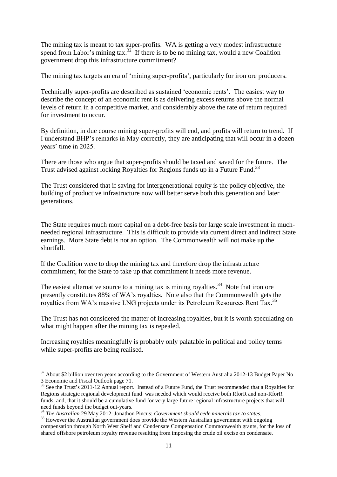The mining tax is meant to tax super-profits. WA is getting a very modest infrastructure spend from Labor's mining tax.<sup>32</sup> If there is to be no mining tax, would a new Coalition government drop this infrastructure commitment?

The mining tax targets an era of 'mining super-profits', particularly for iron ore producers.

Technically super-profits are described as sustained 'economic rents'. The easiest way to describe the concept of an economic rent is as delivering excess returns above the normal levels of return in a competitive market, and considerably above the rate of return required for investment to occur.

By definition, in due course mining super-profits will end, and profits will return to trend. If I understand BHP's remarks in May correctly, they are anticipating that will occur in a dozen years' time in 2025.

There are those who argue that super-profits should be taxed and saved for the future. The Trust advised against locking Royalties for Regions funds up in a Future Fund.<sup>33</sup>

The Trust considered that if saving for intergenerational equity is the policy objective, the building of productive infrastructure now will better serve both this generation and later generations.

The State requires much more capital on a debt-free basis for large scale investment in muchneeded regional infrastructure. This is difficult to provide via current direct and indirect State earnings. More State debt is not an option. The Commonwealth will not make up the shortfall.

If the Coalition were to drop the mining tax and therefore drop the infrastructure commitment, for the State to take up that commitment it needs more revenue.

The easiest alternative source to a mining tax is mining royalties.<sup>34</sup> Note that iron ore presently constitutes 88% of WA's royalties. Note also that the Commonwealth gets the royalties from WA's massive LNG projects under its Petroleum Resources Rent Tax.<sup>35</sup>

The Trust has not considered the matter of increasing royalties, but it is worth speculating on what might happen after the mining tax is repealed.

Increasing royalties meaningfully is probably only palatable in political and policy terms while super-profits are being realised.

<sup>&</sup>lt;sup>32</sup> About \$2 billion over ten years according to the Government of Western Australia 2012-13 Budget Paper No 3 Economic and Fiscal Outlook page 71.

<sup>&</sup>lt;sup>33</sup> See the Trust's 2011-12 Annual report. Instead of a Future Fund, the Trust recommended that a Royalties for Regions strategic regional development fund was needed which would receive both RforR and non-RforR funds; and, that it should be a cumulative fund for very large future regional infrastructure projects that will need funds beyond the budget out-years.

<sup>34</sup> *The Australian* 29 May 2012: Jonathon Pincus: *Government should cede minerals tax to states.*

<sup>&</sup>lt;sup>35</sup> However the Australian government does provide the Western Australian government with ongoing compensation through North West Shelf and Condensate Compensation Commonwealth grants, for the loss of shared offshore petroleum royalty revenue resulting from imposing the crude oil excise on condensate.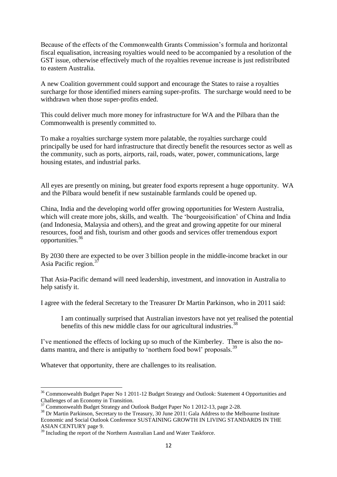Because of the effects of the Commonwealth Grants Commission's formula and horizontal fiscal equalisation, increasing royalties would need to be accompanied by a resolution of the GST issue, otherwise effectively much of the royalties revenue increase is just redistributed to eastern Australia.

A new Coalition government could support and encourage the States to raise a royalties surcharge for those identified miners earning super-profits. The surcharge would need to be withdrawn when those super-profits ended.

This could deliver much more money for infrastructure for WA and the Pilbara than the Commonwealth is presently committed to.

To make a royalties surcharge system more palatable, the royalties surcharge could principally be used for hard infrastructure that directly benefit the resources sector as well as the community, such as ports, airports, rail, roads, water, power, communications, large housing estates, and industrial parks.

All eyes are presently on mining, but greater food exports represent a huge opportunity. WA and the Pilbara would benefit if new sustainable farmlands could be opened up.

China, India and the developing world offer growing opportunities for Western Australia, which will create more jobs, skills, and wealth. The 'bourgeoisification' of China and India (and Indonesia, Malaysia and others), and the great and growing appetite for our mineral resources, food and fish, tourism and other goods and services offer tremendous export opportunities.<sup>36</sup>

By 2030 there are expected to be over 3 billion people in the middle-income bracket in our Asia Pacific region. $3^{7}$ 

That Asia-Pacific demand will need leadership, investment, and innovation in Australia to help satisfy it.

I agree with the federal Secretary to the Treasurer Dr Martin Parkinson, who in 2011 said:

I am continually surprised that Australian investors have not yet realised the potential benefits of this new middle class for our agricultural industries.<sup>38</sup>

I've mentioned the effects of locking up so much of the Kimberley. There is also the nodams mantra, and there is antipathy to 'northern food bowl' proposals.<sup>39</sup>

Whatever that opportunity, there are challenges to its realisation.

<sup>&</sup>lt;sup>36</sup> Commonwealth Budget Paper No 1 2011-12 Budget Strategy and Outlook: Statement 4 Opportunities and Challenges of an Economy in Transition.

<sup>&</sup>lt;sup>37</sup> Commonwealth Budget Strategy and Outlook Budget Paper No 1 2012-13, page 2-28.

<sup>&</sup>lt;sup>38</sup> Dr Martin Parkinson, Secretary to the Treasury, 30 June 2011: Gala Address to the Melbourne Institute Economic and Social Outlook Conference SUSTAINING GROWTH IN LIVING STANDARDS IN THE ASIAN CENTURY page 9.

 $39$  Including the report of the Northern Australian Land and Water Taskforce.